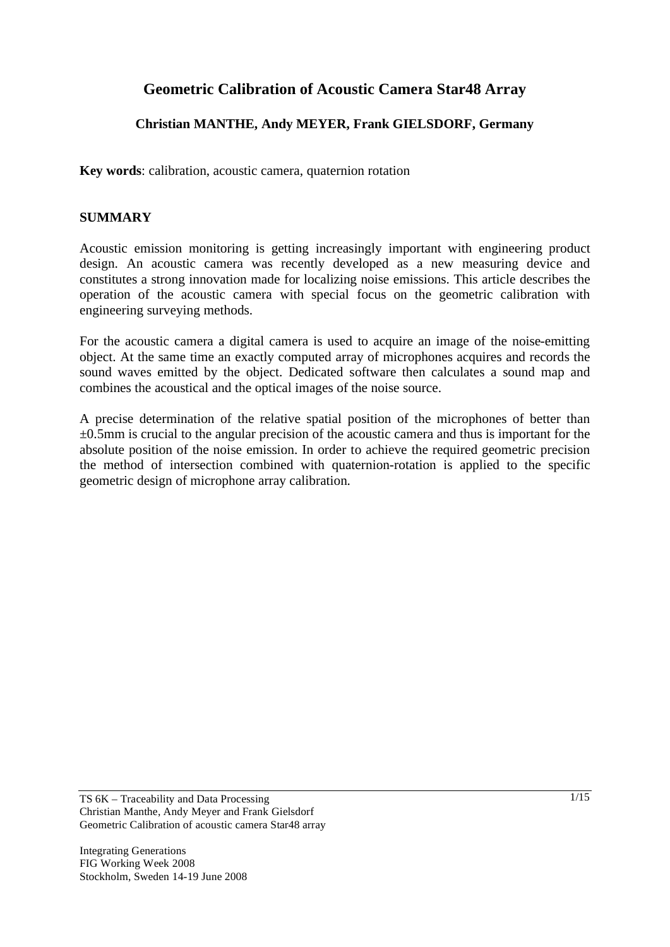# **Geometric Calibration of Acoustic Camera Star48 Array**

# **Christian MANTHE, Andy MEYER, Frank GIELSDORF, Germany**

**Key words**: calibration, acoustic camera, quaternion rotation

# **SUMMARY**

Acoustic emission monitoring is getting increasingly important with engineering product design. An acoustic camera was recently developed as a new measuring device and constitutes a strong innovation made for localizing noise emissions. This article describes the operation of the acoustic camera with special focus on the geometric calibration with engineering surveying methods.

For the acoustic camera a digital camera is used to acquire an image of the noise-emitting object. At the same time an exactly computed array of microphones acquires and records the sound waves emitted by the object. Dedicated software then calculates a sound map and combines the acoustical and the optical images of the noise source.

A precise determination of the relative spatial position of the microphones of better than  $\pm 0.5$ mm is crucial to the angular precision of the acoustic camera and thus is important for the absolute position of the noise emission. In order to achieve the required geometric precision the method of intersection combined with quaternion-rotation is applied to the specific geometric design of microphone array calibration.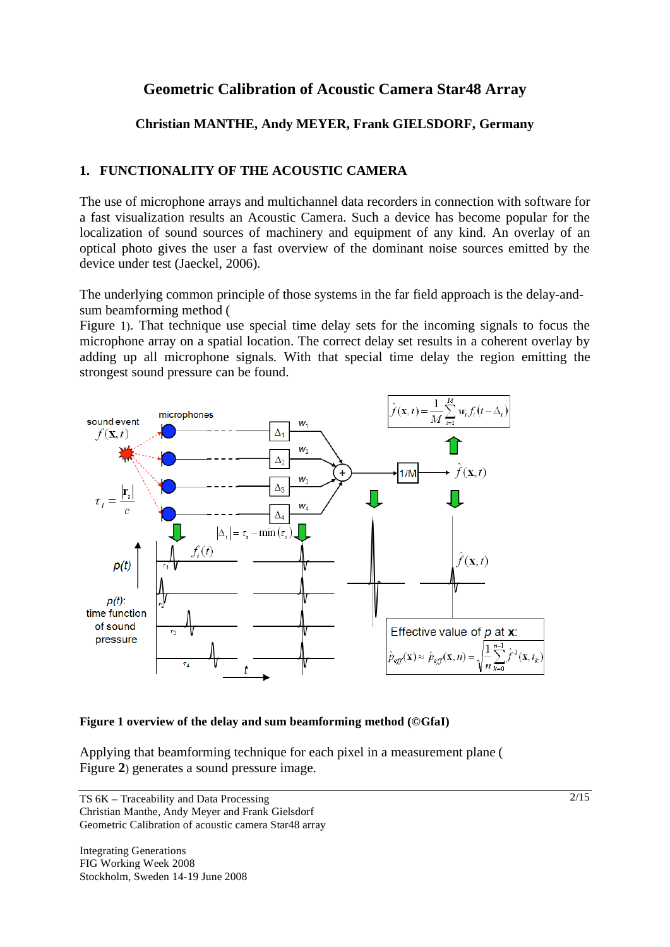# **Geometric Calibration of Acoustic Camera Star48 Array**

# **Christian MANTHE, Andy MEYER, Frank GIELSDORF, Germany**

# **1. FUNCTIONALITY OF THE ACOUSTIC CAMERA**

The use of microphone arrays and multichannel data recorders in connection with software for a fast visualization results an Acoustic Camera. Such a device has become popular for the localization of sound sources of machinery and equipment of any kind. An overlay of an optical photo gives the user a fast overview of the dominant noise sources emitted by the device under test (Jaeckel, 2006).

The underlying common principle of those systems in the far field approach is the delay-andsum beamforming method (

Figure 1). That technique use special time delay sets for the incoming signals to focus the microphone array on a spatial location. The correct delay set results in a coherent overlay by adding up all microphone signals. With that special time delay the region emitting the strongest sound pressure can be found.



#### **Figure 1 overview of the delay and sum beamforming method (©GfaI)**

Applying that beamforming technique for each pixel in a measurement plane ( Figure **2**) generates a sound pressure image.

TS 6K – Traceability and Data Processing Christian Manthe, Andy Meyer and Frank Gielsdorf Geometric Calibration of acoustic camera Star48 array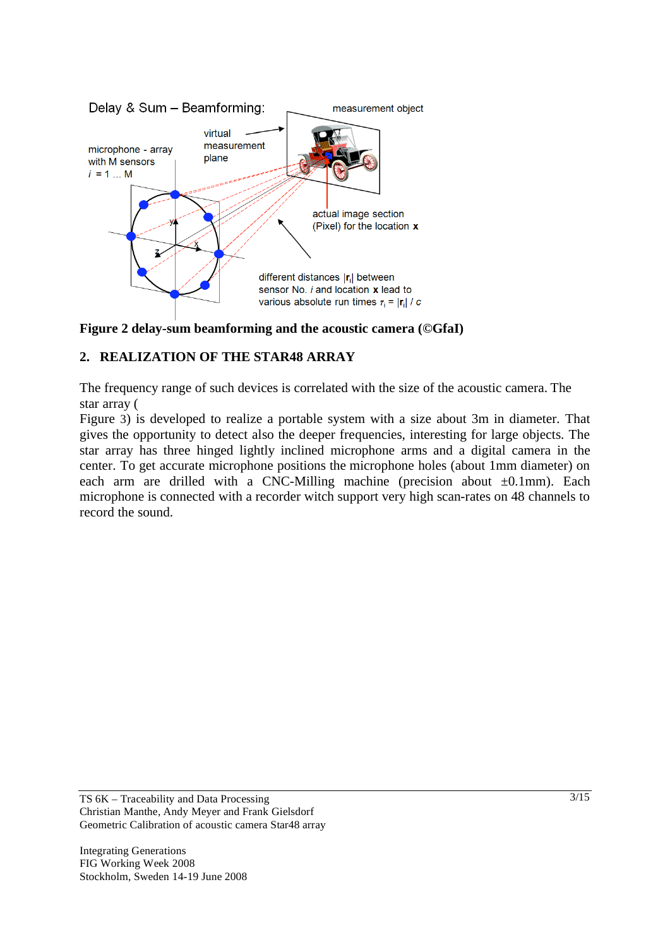

**Figure 2 delay-sum beamforming and the acoustic camera (©GfaI)** 

# **2. REALIZATION OF THE STAR48 ARRAY**

The frequency range of such devices is correlated with the size of the acoustic camera. The star array (

Figure 3) is developed to realize a portable system with a size about 3m in diameter. That gives the opportunity to detect also the deeper frequencies, interesting for large objects. The star array has three hinged lightly inclined microphone arms and a digital camera in the center. To get accurate microphone positions the microphone holes (about 1mm diameter) on each arm are drilled with a CNC-Milling machine (precision about  $\pm 0.1$ mm). Each microphone is connected with a recorder witch support very high scan-rates on 48 channels to record the sound.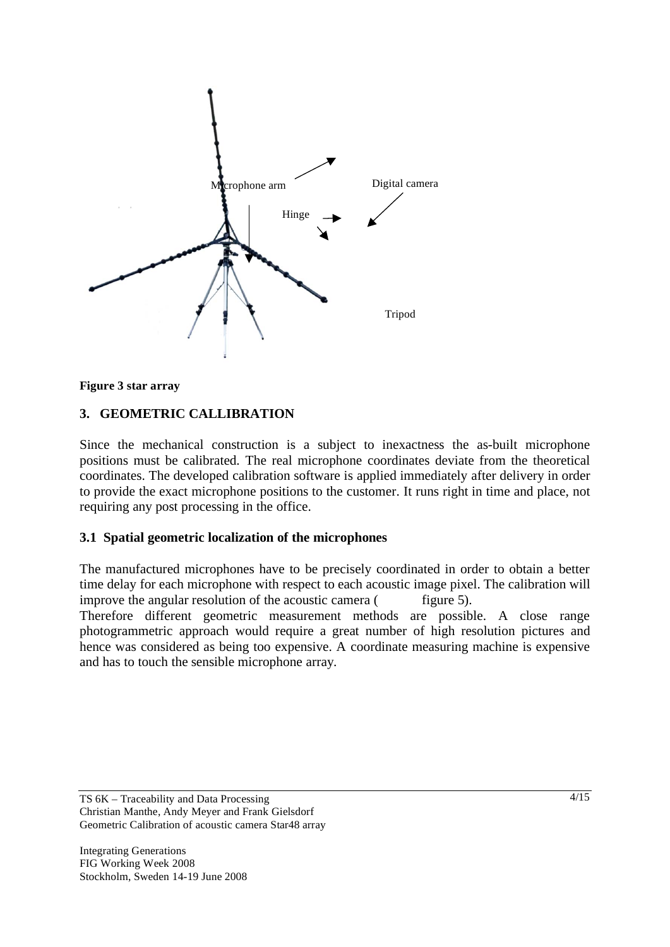



### **3. GEOMETRIC CALLIBRATION**

Since the mechanical construction is a subject to inexactness the as-built microphone positions must be calibrated. The real microphone coordinates deviate from the theoretical coordinates. The developed calibration software is applied immediately after delivery in order to provide the exact microphone positions to the customer. It runs right in time and place, not requiring any post processing in the office.

### **3.1 Spatial geometric localization of the microphones**

The manufactured microphones have to be precisely coordinated in order to obtain a better time delay for each microphone with respect to each acoustic image pixel. The calibration will improve the angular resolution of the acoustic camera  $($  figure 5).

Therefore different geometric measurement methods are possible. A close range photogrammetric approach would require a great number of high resolution pictures and hence was considered as being too expensive. A coordinate measuring machine is expensive and has to touch the sensible microphone array.

TS 6K – Traceability and Data Processing Christian Manthe, Andy Meyer and Frank Gielsdorf Geometric Calibration of acoustic camera Star48 array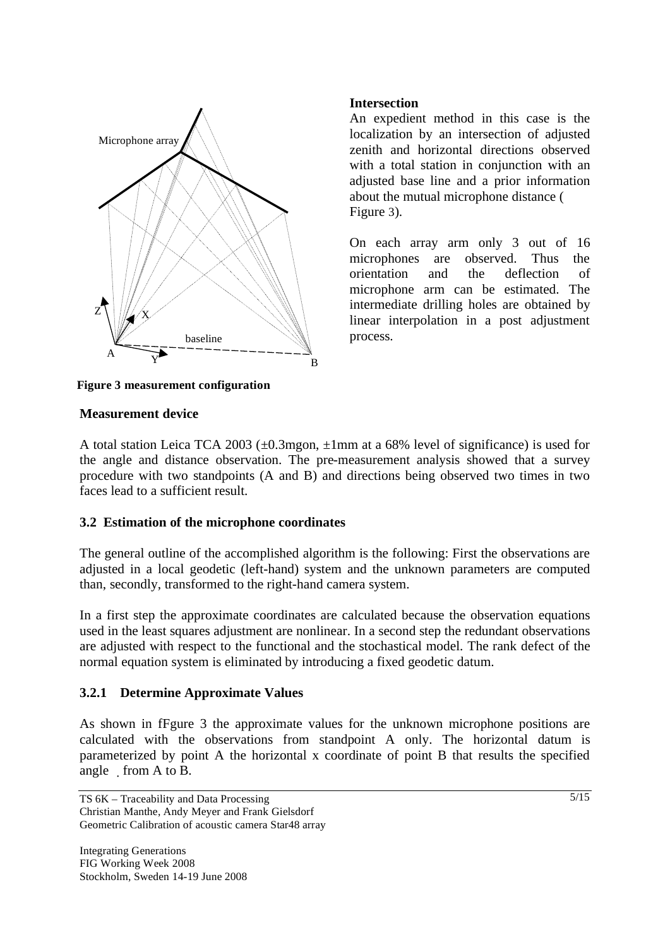

## **Intersection**

An expedient method in this case is the localization by an intersection of adjusted zenith and horizontal directions observed with a total station in conjunction with an adjusted base line and a prior information about the mutual microphone distance ( Figure 3).

On each array arm only 3 out of 16 microphones are observed. Thus the orientation and the deflection of microphone arm can be estimated. The intermediate drilling holes are obtained by linear interpolation in a post adjustment process.

**Figure 3 measurement configuration**

#### **Measurement device**

A total station Leica TCA 2003 (±0.3mgon, ±1mm at a 68% level of significance) is used for the angle and distance observation. The pre-measurement analysis showed that a survey procedure with two standpoints (A and B) and directions being observed two times in two faces lead to a sufficient result.

#### **3.2 Estimation of the microphone coordinates**

The general outline of the accomplished algorithm is the following: First the observations are adjusted in a local geodetic (left-hand) system and the unknown parameters are computed than, secondly, transformed to the right-hand camera system.

In a first step the approximate coordinates are calculated because the observation equations used in the least squares adjustment are nonlinear. In a second step the redundant observations are adjusted with respect to the functional and the stochastical model. The rank defect of the normal equation system is eliminated by introducing a fixed geodetic datum.

## **3.2.1 Determine Approximate Values**

As shown in fFgure 3 the approximate values for the unknown microphone positions are calculated with the observations from standpoint A only. The horizontal datum is parameterized by point A the horizontal x coordinate of point B that results the specified angle  $\mod A$  to B.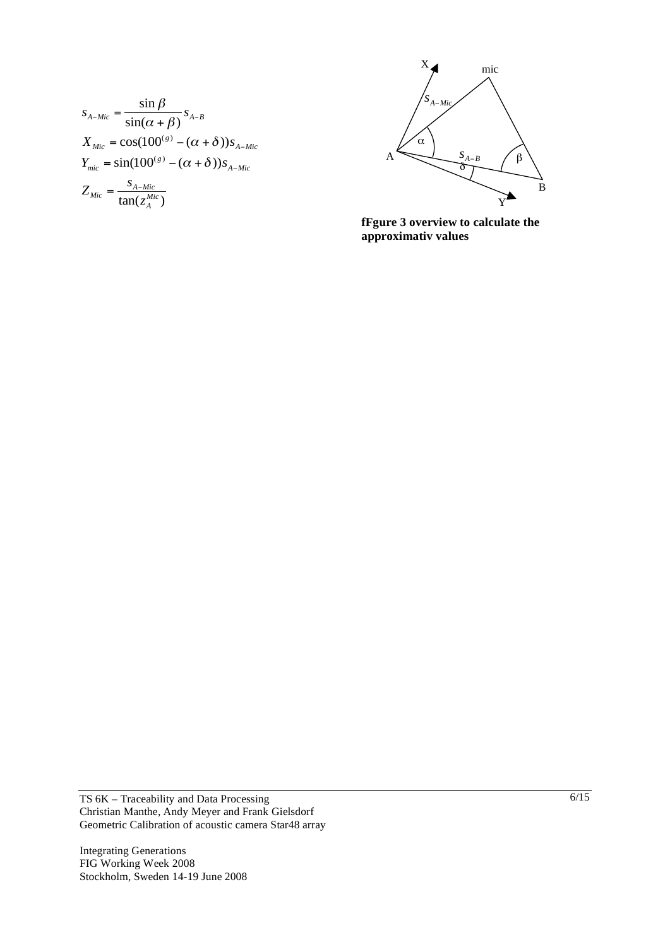$$
s_{A-Mic} = \frac{\sin \beta}{\sin(\alpha + \beta)} s_{A-B}
$$
  
\n
$$
X_{Mic} = \cos(100^{(s)} - (\alpha + \delta)) s_{A-Mic}
$$
  
\n
$$
Y_{mic} = \sin(100^{(s)} - (\alpha + \delta)) s_{A-Mic}
$$
  
\n
$$
Z_{Mic} = \frac{s_{A-Mic}}{\tan(z_A^{Mic})}
$$



**fFgure 3 overview to calculate the approximativ values**

TS 6K – Traceability and Data Processing Christian Manthe, Andy Meyer and Frank Gielsdorf Geometric Calibration of acoustic camera Star48 array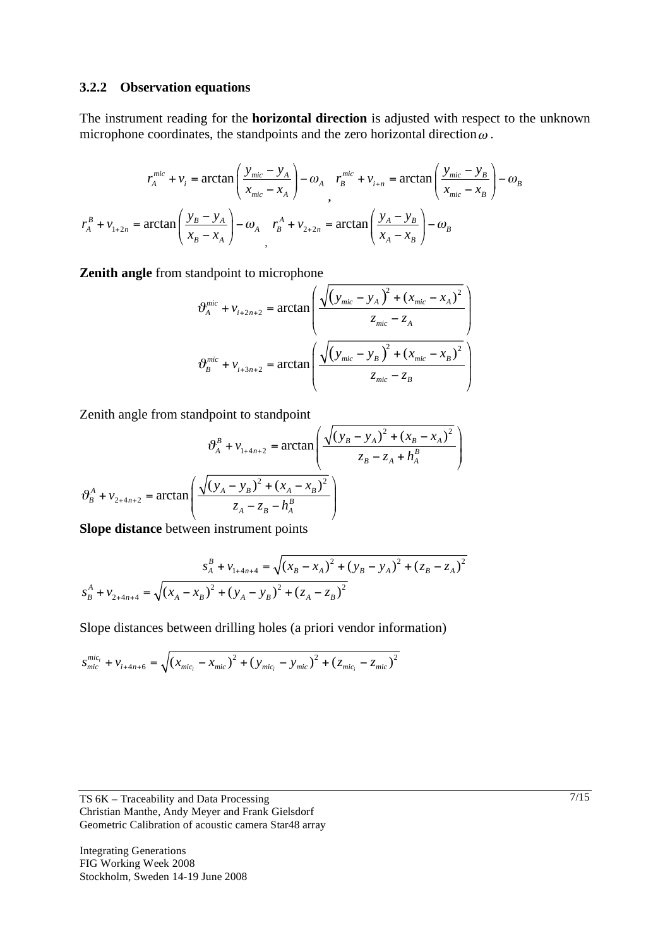#### **3.2.2 Observation equations**

The instrument reading for the **horizontal direction** is adjusted with respect to the unknown microphone coordinates, the standpoints and the zero horizontal direction  $\omega$ .

$$
r_A^{mic} + v_i = \arctan\left(\frac{y_{mic} - y_A}{x_{mic} - x_A}\right) - \omega_A \quad r_B^{mic} + v_{i+n} = \arctan\left(\frac{y_{mic} - y_B}{x_{mic} - x_B}\right) - \omega_B
$$
\n
$$
r_A^B + v_{1+2n} = \arctan\left(\frac{y_B - y_A}{x_B - x_A}\right) - \omega_A \quad r_B^A + v_{2+2n} = \arctan\left(\frac{y_A - y_B}{x_A - x_B}\right) - \omega_B
$$

**Zenith angle** from standpoint to microphone

$$
\vartheta_{A}^{mic} + v_{i+2n+2} = \arctan\left(\frac{\sqrt{(y_{mic} - y_{A})^{2} + (x_{mic} - x_{A})^{2}}}{z_{mic} - z_{A}}\right)
$$

$$
\vartheta_{B}^{mic} + v_{i+3n+2} = \arctan\left(\frac{\sqrt{(y_{mic} - y_{B})^{2} + (x_{mic} - x_{B})^{2}}}{z_{mic} - z_{B}}\right)
$$

Zenith angle from standpoint to standpoint

$$
\vartheta_A^B + v_{1+4n+2} = \arctan\left(\frac{\sqrt{(y_B - y_A)^2 + (x_B - x_A)^2}}{z_B - z_A + h_A^B}\right)
$$

$$
\vartheta_B^A + v_{2+4n+2} = \arctan\left(\frac{\sqrt{(y_A - y_B)^2 + (x_A - x_B)^2}}{z_A - z_B - h_A^B}\right)
$$

**Slope distance** between instrument points

$$
s_A^B + v_{1+4n+4} = \sqrt{(x_B - x_A)^2 + (y_B - y_A)^2 + (z_B - z_A)^2}
$$

$$
s_B^A + v_{2+4n+4} = \sqrt{(x_A - x_B)^2 + (y_A - y_B)^2 + (z_A - z_B)^2}
$$

Slope distances between drilling holes (a priori vendor information)

$$
s_{mic}^{mic_i} + v_{i+4n+6} = \sqrt{(x_{mic_i} - x_{mic})^2 + (y_{mic_i} - y_{mic})^2 + (z_{mic_i} - z_{mic})^2}
$$

TS 6K – Traceability and Data Processing Christian Manthe, Andy Meyer and Frank Gielsdorf Geometric Calibration of acoustic camera Star48 array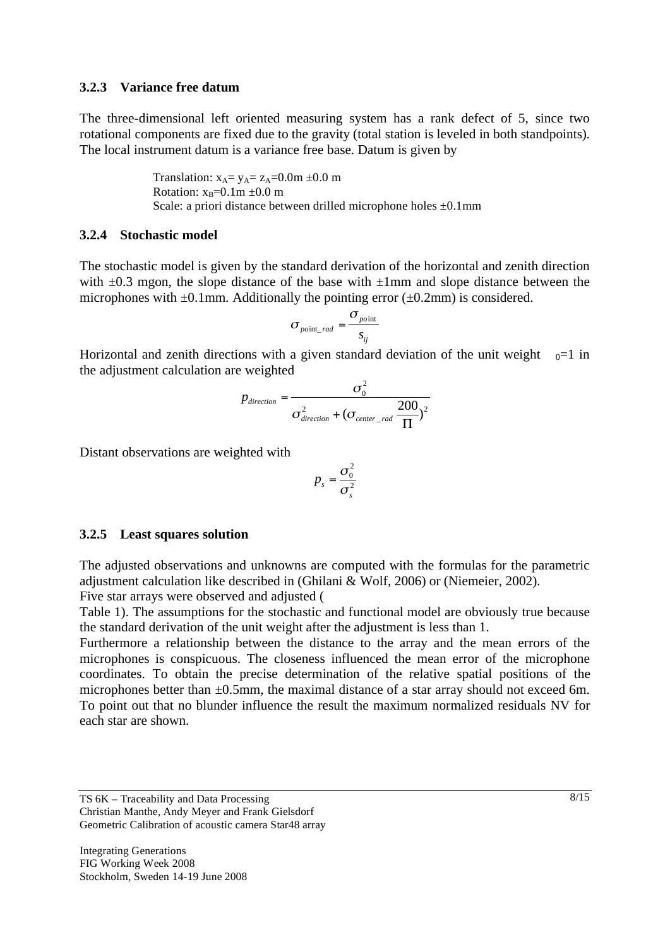#### **3.2.3 Variance free datum**

The three-dimensional left oriented measuring system has a rank defect of 5, since two rotational components are fixed due to the gravity (total station is leveled in both standpoints). The local instrument datum is a variance free base. Datum is given by

> Translation:  $x_A = y_A = z_A = 0.0$ m  $\pm 0.0$  m Rotation:  $x_B=0.1m \pm 0.0 m$ Scale: a priori distance between drilled microphone holes  $\pm 0.1$ mm

#### **3.2.4 Stochastic model**

The stochastic model is given by the standard derivation of the horizontal and zenith direction with  $\pm 0.3$  mgon, the slope distance of the base with  $\pm 1$ mm and slope distance between the microphones with  $\pm 0.1$ mm. Additionally the pointing error ( $\pm 0.2$ mm) is considered.

$$
\sigma_{\text{point\_rad}} = \frac{\sigma_{\text{point}}}{s_{ij}}
$$

Horizontal and zenith directions with a given standard deviation of the unit weight  $_{0}=1$  in the adjustment calculation are weighted

$$
p_{direction} = \frac{\sigma_0^2}{\sigma_{direction}^2 + (\sigma_{center\_rad} \frac{200}{\Pi})^2}
$$

Distant observations are weighted with

$$
p_s = \frac{\sigma_0^2}{\sigma_s^2}
$$

#### **3.2.5 Least squares solution**

The adjusted observations and unknowns are computed with the formulas for the parametric adjustment calculation like described in (Ghilani & Wolf, 2006) or (Niemeier, 2002).

Five star arrays were observed and adjusted (

Table 1). The assumptions for the stochastic and functional model are obviously true because the standard derivation of the unit weight after the adjustment is less than 1.

Furthermore a relationship between the distance to the array and the mean errors of the microphones is conspicuous. The closeness influenced the mean error of the microphone coordinates. To obtain the precise determination of the relative spatial positions of the microphones better than  $\pm 0.5$ mm, the maximal distance of a star array should not exceed 6m. To point out that no blunder influence the result the maximum normalized residuals NV for each star are shown.

TS 6K – Traceability and Data Processing Christian Manthe, Andy Meyer and Frank Gielsdorf Geometric Calibration of acoustic camera Star48 array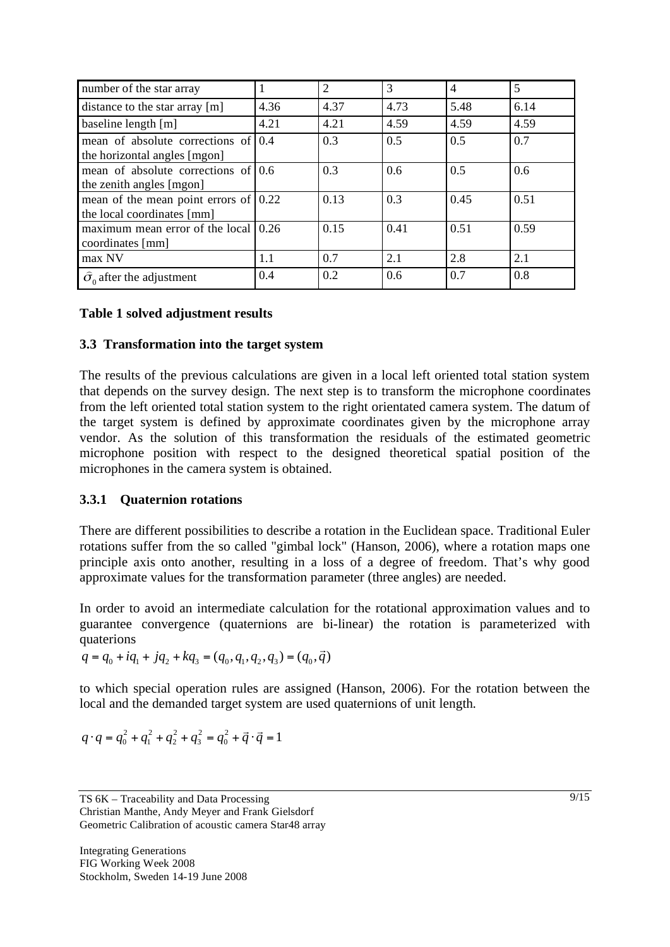| number of the star array                                            |      | $\overline{2}$ | 3    | $\overline{4}$ | 5    |
|---------------------------------------------------------------------|------|----------------|------|----------------|------|
| distance to the star array [m]                                      | 4.36 | 4.37           | 4.73 | 5.48           | 6.14 |
| baseline length [m]                                                 | 4.21 | 4.21           | 4.59 | 4.59           | 4.59 |
| mean of absolute corrections of<br>the horizontal angles [mgon]     | 0.4  | 0.3            | 0.5  | 0.5            | 0.7  |
| mean of absolute corrections of<br>the zenith angles [mgon]         | 0.6  | 0.3            | 0.6  | 0.5            | 0.6  |
| mean of the mean point errors of 0.22<br>the local coordinates [mm] |      | 0.13           | 0.3  | 0.45           | 0.51 |
| maximum mean error of the local<br>coordinates [mm]                 | 0.26 | 0.15           | 0.41 | 0.51           | 0.59 |
| max NV                                                              | 1.1  | 0.7            | 2.1  | 2.8            | 2.1  |
| $\hat{\sigma}_0$ after the adjustment                               | 0.4  | 0.2            | 0.6  | 0.7            | 0.8  |

## **Table 1 solved adjustment results**

#### **3.3 Transformation into the target system**

The results of the previous calculations are given in a local left oriented total station system that depends on the survey design. The next step is to transform the microphone coordinates from the left oriented total station system to the right orientated camera system. The datum of the target system is defined by approximate coordinates given by the microphone array vendor. As the solution of this transformation the residuals of the estimated geometric microphone position with respect to the designed theoretical spatial position of the microphones in the camera system is obtained.

## **3.3.1 Quaternion rotations**

There are different possibilities to describe a rotation in the Euclidean space. Traditional Euler rotations suffer from the so called "gimbal lock" (Hanson, 2006), where a rotation maps one principle axis onto another, resulting in a loss of a degree of freedom. That's why good approximate values for the transformation parameter (three angles) are needed.

In order to avoid an intermediate calculation for the rotational approximation values and to guarantee convergence (quaternions are bi-linear) the rotation is parameterized with quaterions

$$
q = q_0 + iq_1 + jq_2 + kq_3 = (q_0, q_1, q_2, q_3) = (q_0, \vec{q})
$$

to which special operation rules are assigned (Hanson, 2006). For the rotation between the local and the demanded target system are used quaternions of unit length.

$$
q \cdot q = q_0^2 + q_1^2 + q_2^2 + q_3^2 = q_0^2 + \vec{q} \cdot \vec{q} = 1
$$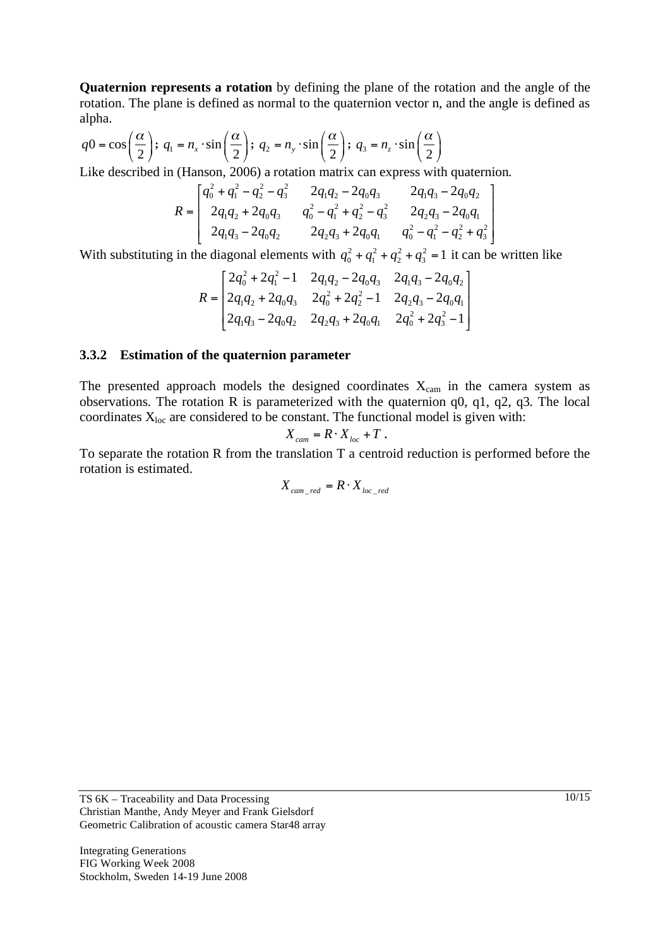**Quaternion represents a rotation** by defining the plane of the rotation and the angle of the rotation. The plane is defined as normal to the quaternion vector n, and the angle is defined as alpha.

$$
q0 = \cos\left(\frac{\alpha}{2}\right); \quad q_1 = n_x \cdot \sin\left(\frac{\alpha}{2}\right); \quad q_2 = n_y \cdot \sin\left(\frac{\alpha}{2}\right); \quad q_3 = n_z \cdot \sin\left(\frac{\alpha}{2}\right)
$$

Like described in (Hanson, 2006) a rotation matrix can express with quaternion.

$$
R = \begin{bmatrix} q_0^2 + q_1^2 - q_2^2 - q_3^2 & 2q_1q_2 - 2q_0q_3 & 2q_1q_3 - 2q_0q_2 \\ 2q_1q_2 + 2q_0q_3 & q_0^2 - q_1^2 + q_2^2 - q_3^2 & 2q_2q_3 - 2q_0q_1 \\ 2q_1q_3 - 2q_0q_2 & 2q_2q_3 + 2q_0q_1 & q_0^2 - q_1^2 - q_2^2 + q_3^2 \end{bmatrix}
$$

With substituting in the diagonal elements with  $q_0^2 + q_1^2 + q_2^2 + q_3^2 = 1$  it can be written like

$$
R = \begin{bmatrix} 2q_0^2 + 2q_1^2 - 1 & 2q_1q_2 - 2q_0q_3 & 2q_1q_3 - 2q_0q_2 \\ 2q_1q_2 + 2q_0q_3 & 2q_0^2 + 2q_2^2 - 1 & 2q_2q_3 - 2q_0q_1 \\ 2q_1q_3 - 2q_0q_2 & 2q_2q_3 + 2q_0q_1 & 2q_0^2 + 2q_3^2 - 1 \end{bmatrix}
$$

#### **3.3.2 Estimation of the quaternion parameter**

The presented approach models the designed coordinates  $X_{cam}$  in the camera system as observations. The rotation R is parameterized with the quaternion q0, q1, q2, q3. The local coordinates  $X_{loc}$  are considered to be constant. The functional model is given with:

$$
X_{cam} = R \cdot X_{loc} + T.
$$

To separate the rotation R from the translation T a centroid reduction is performed before the rotation is estimated.

$$
X_{cam\_red} = R \cdot X_{loc\_red}
$$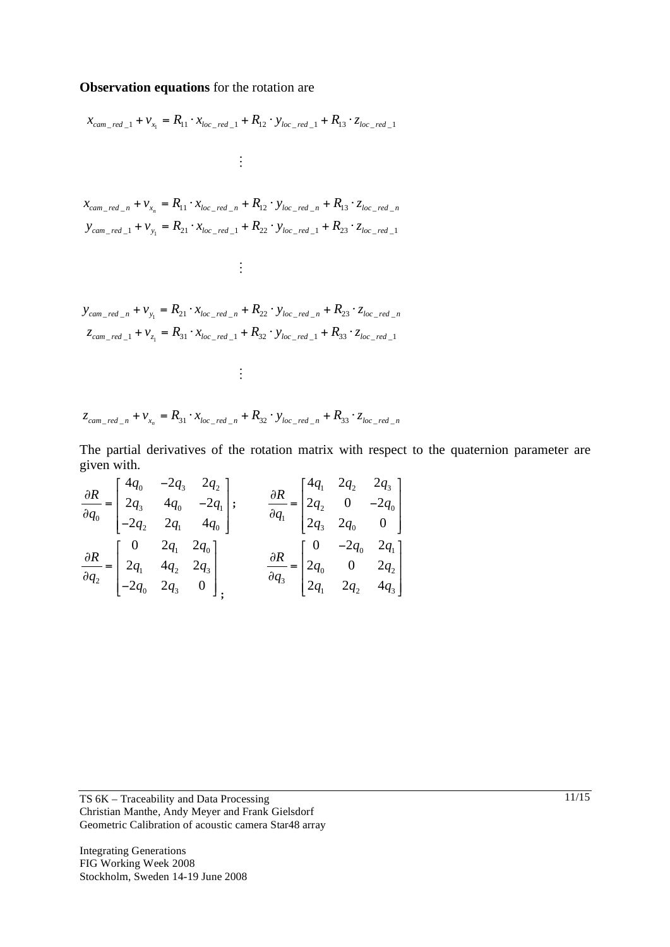#### **Observation equations** for the rotation are

$$
x_{cam\_red\_1} + v_{x_1} = R_{11} \cdot x_{loc\_red\_1} + R_{12} \cdot y_{loc\_red\_1} + R_{13} \cdot z_{loc\_red\_1}
$$
\n
$$
\vdots
$$
\n
$$
x_{cam\_red\_n} + v_{x_n} = R_{11} \cdot x_{loc\_red\_n} + R_{12} \cdot y_{loc\_red\_n} + R_{13} \cdot z_{loc\_red\_n}
$$
\n
$$
y_{cam\_red\_1} + v_{y_1} = R_{21} \cdot x_{loc\_red\_1} + R_{22} \cdot y_{loc\_red\_1} + R_{23} \cdot z_{loc\_red\_1}
$$
\n
$$
\vdots
$$
\n
$$
y_{cam\_red\_n} + v_{y_1} = R_{21} \cdot x_{loc\_red\_n} + R_{22} \cdot y_{loc\_red\_n} + R_{23} \cdot z_{loc\_red\_n}
$$
\n
$$
z_{cam\_red\_1} + v_{z_1} = R_{31} \cdot x_{loc\_red\_1} + R_{32} \cdot y_{loc\_red\_1} + R_{33} \cdot z_{loc\_red\_1}
$$
\n
$$
\vdots
$$

$$
z_{cam\_red\_n} + v_{x_n} = R_{31} \cdot x_{loc\_red\_n} + R_{32} \cdot y_{loc\_red\_n} + R_{33} \cdot z_{loc\_red\_n}
$$

The partial derivatives of the rotation matrix with respect to the quaternion parameter are given with.

$$
\frac{\partial R}{\partial q_0} = \begin{bmatrix} 4q_0 & -2q_3 & 2q_2 \\ 2q_3 & 4q_0 & -2q_1 \\ -2q_2 & 2q_1 & 4q_0 \end{bmatrix}; \n\qquad\n\frac{\partial R}{\partial q_1} = \begin{bmatrix} 4q_1 & 2q_2 & 2q_3 \\ 2q_2 & 0 & -2q_0 \\ 2q_3 & 2q_0 & 0 \end{bmatrix}
$$
\n
$$
\frac{\partial R}{\partial q_2} = \begin{bmatrix} 0 & 2q_1 & 2q_0 \\ 2q_1 & 4q_2 & 2q_3 \\ -2q_0 & 2q_3 & 0 \end{bmatrix}; \n\qquad\n\frac{\partial R}{\partial q_3} = \begin{bmatrix} 0 & -2q_0 & 2q_1 \\ 2q_0 & 0 & 2q_2 \\ 2q_1 & 2q_2 & 4q_3 \end{bmatrix}
$$

TS 6K – Traceability and Data Processing Christian Manthe, Andy Meyer and Frank Gielsdorf Geometric Calibration of acoustic camera Star48 array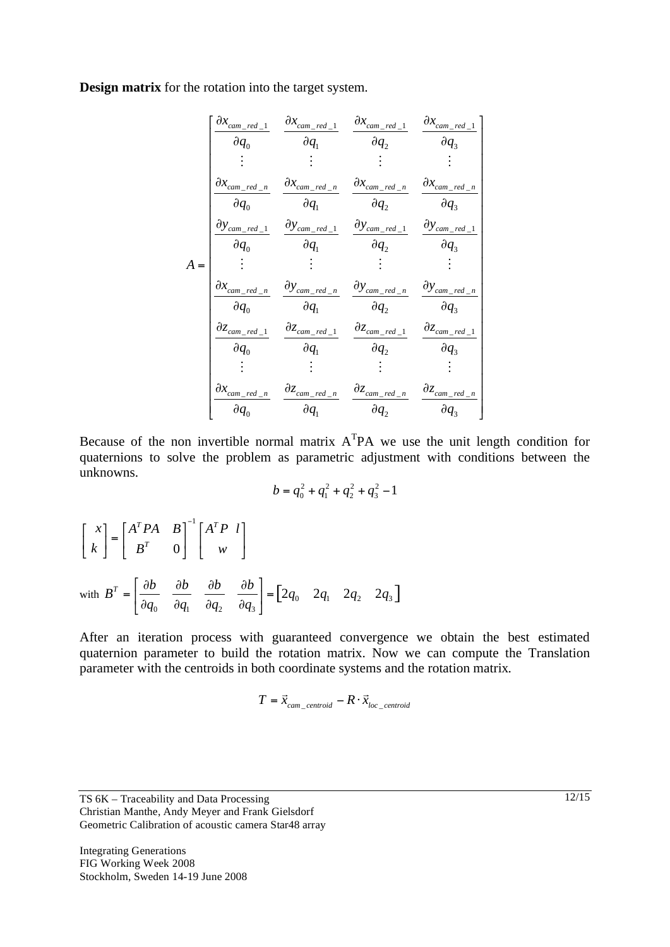**Design matrix** for the rotation into the target system.

$$
A = \begin{bmatrix} \frac{\partial x_{cam\_red\_1}}{\partial q_0} & \frac{\partial x_{cam\_red\_1}}{\partial q_1} & \frac{\partial x_{cam\_red\_1}}{\partial q_2} & \frac{\partial x_{cam\_red\_1}}{\partial q_3} \\ \vdots & \vdots & \vdots & \vdots \\ \frac{\partial x_{cam\_red\_n}}{\partial q_0} & \frac{\partial x_{cam\_red\_n}}{\partial q_1} & \frac{\partial x_{cam\_red\_n}}{\partial q_2} & \frac{\partial x_{cam\_red\_n}}{\partial q_3} \\ \frac{\partial y_{cam\_red\_1}}{\partial q_0} & \frac{\partial y_{cam\_red\_1}}{\partial q_1} & \frac{\partial y_{cam\_red\_1}}{\partial q_2} & \frac{\partial y_{cam\_red\_1}}{\partial q_3} \\ \vdots & \vdots & \vdots & \vdots \\ \frac{\partial x_{cam\_red\_n}}{\partial q_0} & \frac{\partial y_{cam\_red\_n}}{\partial q_1} & \frac{\partial y_{cam\_red\_n}}{\partial q_2} & \frac{\partial y_{cam\_red\_n}}{\partial q_3} \\ \frac{\partial z_{cam\_red\_1}}{\partial q_0} & \frac{\partial z_{cam\_red\_1}}{\partial q_1} & \frac{\partial z_{cam\_red\_1}}{\partial q_2} & \frac{\partial z_{cam\_red\_1}}{\partial q_3} \\ \vdots & \vdots & \vdots & \vdots \\ \frac{\partial x_{cam\_red\_n}}{\partial q_0} & \frac{\partial z_{cam\_red\_n}}{\partial q_1} & \frac{\partial z_{cam\_red\_n}}{\partial q_2} & \frac{\partial z_{cam\_red\_n}}{\partial q_3} \\ \end{bmatrix}
$$

Because of the non invertible normal matrix  $A<sup>T</sup>PA$  we use the unit length condition for quaternions to solve the problem as parametric adjustment with conditions between the unknowns.

$$
b = q_0^2 + q_1^2 + q_2^2 + q_3^2 - 1
$$

$$
\begin{bmatrix} x \\ k \end{bmatrix} = \begin{bmatrix} A^T P A & B \\ B^T & 0 \end{bmatrix}^{-1} \begin{bmatrix} A^T P & l \\ w & \end{bmatrix}
$$
  
with  $B^T = \begin{bmatrix} \frac{\partial b}{\partial q_0} & \frac{\partial b}{\partial q_1} & \frac{\partial b}{\partial q_2} & \frac{\partial b}{\partial q_3} \end{bmatrix} = \begin{bmatrix} 2q_0 & 2q_1 & 2q_2 & 2q_3 \end{bmatrix}$ 

After an iteration process with guaranteed convergence we obtain the best estimated quaternion parameter to build the rotation matrix. Now we can compute the Translation parameter with the centroids in both coordinate systems and the rotation matrix.

$$
T = \vec{x}_{cam\_centroid} - R \cdot \vec{x}_{loc\_centroid}
$$

TS 6K – Traceability and Data Processing Christian Manthe, Andy Meyer and Frank Gielsdorf Geometric Calibration of acoustic camera Star48 array

Integrating Generations FIG Working Week 2008 Stockholm, Sweden 14-19 June 2008 12/15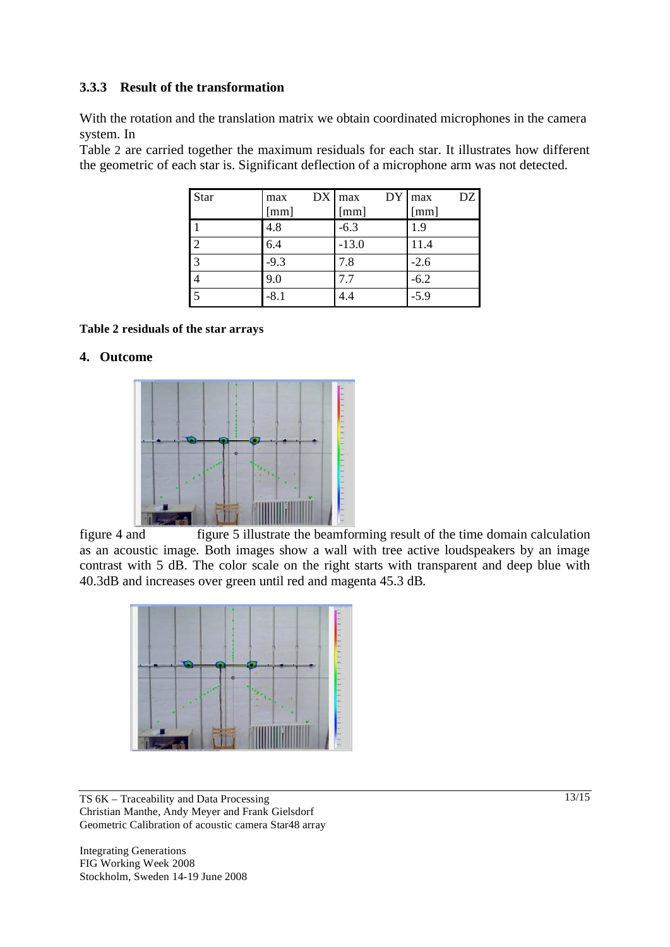### **3.3.3 Result of the transformation**

With the rotation and the translation matrix we obtain coordinated microphones in the camera system. In

Table 2 are carried together the maximum residuals for each star. It illustrates how different the geometric of each star is. Significant deflection of a microphone arm was not detected.

| Star           | max<br>[mm] | DY<br>$DX$ max<br>[mm] | DZ<br>max<br>[mm] |
|----------------|-------------|------------------------|-------------------|
|                | 4.8         | $-6.3$                 | 1.9               |
| $\overline{2}$ | 6.4         | $-13.0$                | 11.4              |
| $\overline{3}$ | $-9.3$      | 7.8                    | $-2.6$            |
|                | 9.0         | 7.7                    | $-6.2$            |
| $\overline{5}$ | $-8.1$      | 4.4                    | $-5.9$            |

#### **Table 2 residuals of the star arrays**

#### **4. Outcome**



figure 4 and figure 5 illustrate the beamforming result of the time domain calculation as an acoustic image. Both images show a wall with tree active loudspeakers by an image contrast with 5 dB. The color scale on the right starts with transparent and deep blue with 40.3dB and increases over green until red and magenta 45.3 dB.



TS 6K – Traceability and Data Processing Christian Manthe, Andy Meyer and Frank Gielsdorf Geometric Calibration of acoustic camera Star48 array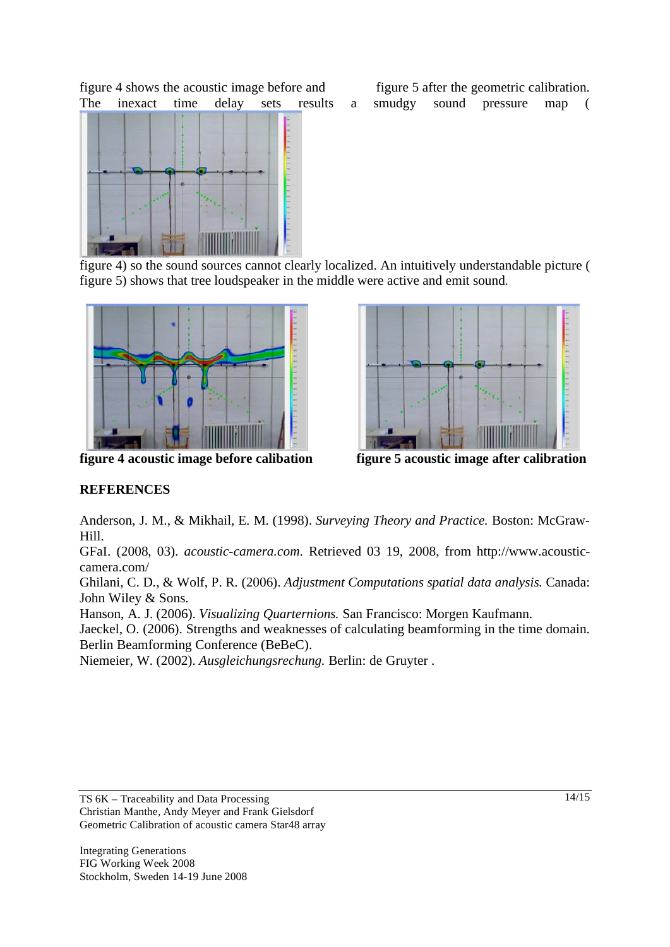figure 4 shows the acoustic image before and figure 5 after the geometric calibration.



The inexact time delay sets results a smudgy sound pressure map (

figure 4) so the sound sources cannot clearly localized. An intuitively understandable picture ( figure 5) shows that tree loudspeaker in the middle were active and emit sound.



**figure 4 acoustic image before calibation figure 5 acoustic image after calibration** 



# **REFERENCES**

Anderson, J. M., & Mikhail, E. M. (1998). *Surveying Theory and Practice.* Boston: McGraw-Hill.

GFaI. (2008, 03). *acoustic-camera.com*. Retrieved 03 19, 2008, from http://www.acousticcamera.com/

Ghilani, C. D., & Wolf, P. R. (2006). *Adjustment Computations spatial data analysis.* Canada: John Wiley & Sons.

Hanson, A. J. (2006). *Visualizing Quarternions.* San Francisco: Morgen Kaufmann.

Jaeckel, O. (2006). Strengths and weaknesses of calculating beamforming in the time domain. Berlin Beamforming Conference (BeBeC).

Niemeier, W. (2002). *Ausgleichungsrechung.* Berlin: de Gruyter .